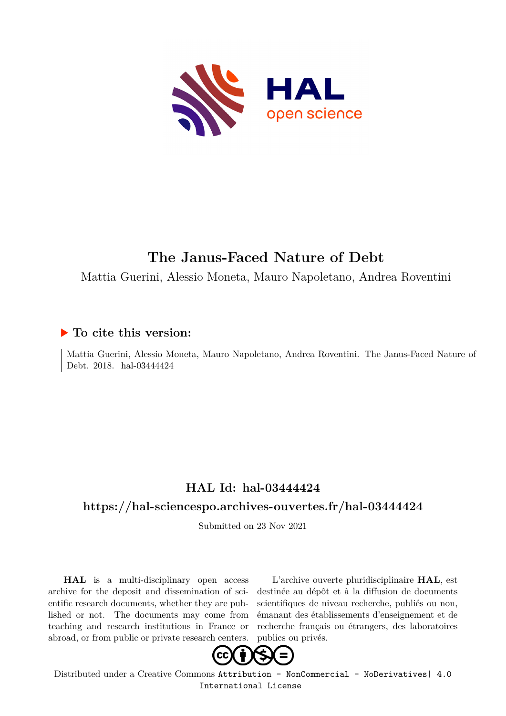

# **The Janus-Faced Nature of Debt**

Mattia Guerini, Alessio Moneta, Mauro Napoletano, Andrea Roventini

## **To cite this version:**

Mattia Guerini, Alessio Moneta, Mauro Napoletano, Andrea Roventini. The Janus-Faced Nature of Debt. 2018. hal-03444424

# **HAL Id: hal-03444424**

## **<https://hal-sciencespo.archives-ouvertes.fr/hal-03444424>**

Submitted on 23 Nov 2021

**HAL** is a multi-disciplinary open access archive for the deposit and dissemination of scientific research documents, whether they are published or not. The documents may come from teaching and research institutions in France or abroad, or from public or private research centers.

L'archive ouverte pluridisciplinaire **HAL**, est destinée au dépôt et à la diffusion de documents scientifiques de niveau recherche, publiés ou non, émanant des établissements d'enseignement et de recherche français ou étrangers, des laboratoires publics ou privés.



Distributed under a Creative Commons [Attribution - NonCommercial - NoDerivatives| 4.0](http://creativecommons.org/licenses/by-nc-nd/4.0/) [International License](http://creativecommons.org/licenses/by-nc-nd/4.0/)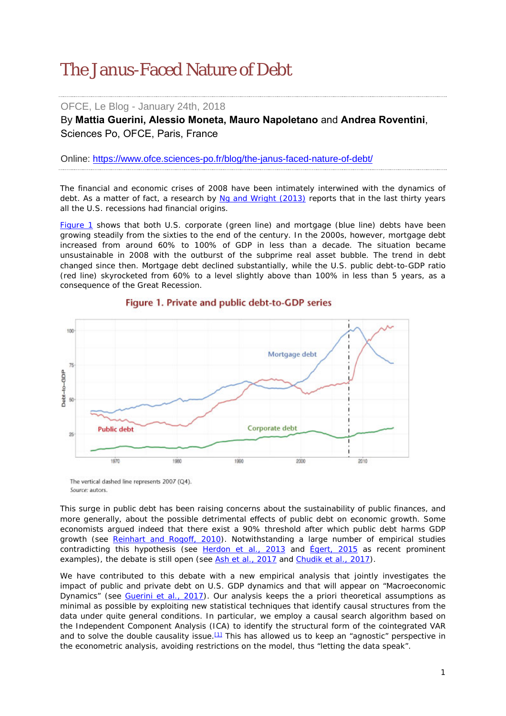# The Janus-Faced Nature of Debt

## OFCE, Le Blog - January 24th, 2018

By **Mattia Guerini, Alessio Moneta, [Mauro Napoletano](https://www.ofce.sciences-po.fr/pages-chercheurs/page.php?id=25)** and **Andrea Roventini**, Sciences Po, OFCE, Paris, France

Online: https://www.ofce.sciences-po.fr/blog/the-janus-faced-nature-of-debt/

The financial and economic crises of 2008 have been intimately interwined with the dynamics of debt. As a matter of fact, a research by [Ng and Wright \(2013\)](https://www.aeaweb.org/articles?id=10.1257/jel.51.4.1120) reports that in the last thirty years all the U.S. recessions had financial origins.

[Figure 1](https://www.ofce.sciences-po.fr/blog/the-janus-faced-nature-of-debt/#Figure1) shows that both U.S. corporate (green line) and mortgage (blue line) debts have been growing steadily from the sixties to the end of the century. In the 2000s, however, mortgage debt increased from around 60% to 100% of GDP in less than a decade. The situation became unsustainable in 2008 with the outburst of the subprime real asset bubble. The trend in debt changed since then. Mortgage debt declined substantially, while the U.S. public debt-to-GDP ratio (red line) skyrocketed from 60% to a level slightly above than 100% in less than 5 years, as a consequence of the Great Recession.



### Figure 1. Private and public debt-to-GDP series

The vertical dashed line represents 2007 (Q4). Source: autors.

This surge in public debt has been raising concerns about the sustainability of public finances, and more generally, about the possible detrimental effects of public debt on economic growth. Some economists argued indeed that there exist a 90% threshold after which public debt harms GDP growth (see [Reinhart and Rogoff, 2010\)](https://www.aeaweb.org/articles?id=10.1257/aer.100.2.573). Notwithstanding a large number of empirical studies contradicting this hypothesis (see [Herdon](https://academic.oup.com/cje/article-abstract/38/2/257/1714018/Does-high-public-debt-consistently-stifle-economic?redirectedFrom=fulltext) *et al*., 2013 and [Égert, 2015](http://www.tandfonline.com/doi/full/10.1080/00036846.2015.1021463) as recent prominent examples), the debate is still open (see Ash *et al*[., 2017](http://scholarworks.umass.edu/cgi/viewcontent.cgi?article=1227&context=econ_workingpaper) and [Chudik](http://www.mitpressjournals.org/doi/pdf/10.1162/REST_a_00593) *et al*., 2017).

We have contributed to this debate with a new empirical analysis that jointly investigates the impact of public and private debt on U.S. GDP dynamics and that will appear on *"Macroeconomic Dynamics"* (see [Guerini](https://www.ofce.sciences-po.fr/pdf/dtravail/WP2017-02.pdf) *et al.*, 2017). Our analysis keeps the *a priori* theoretical assumptions as minimal as possible by exploiting new statistical techniques that identify causal structures from the data under quite general conditions. In particular, we employ a causal search algorithm based on the Independent Component Analysis (ICA) to identify the structural form of the cointegrated VAR and to solve the double causality issue.<sup>[1]</sup> This has allowed us to keep an "agnostic" perspective in the econometric analysis, avoiding restrictions on the model, thus "letting the data speak".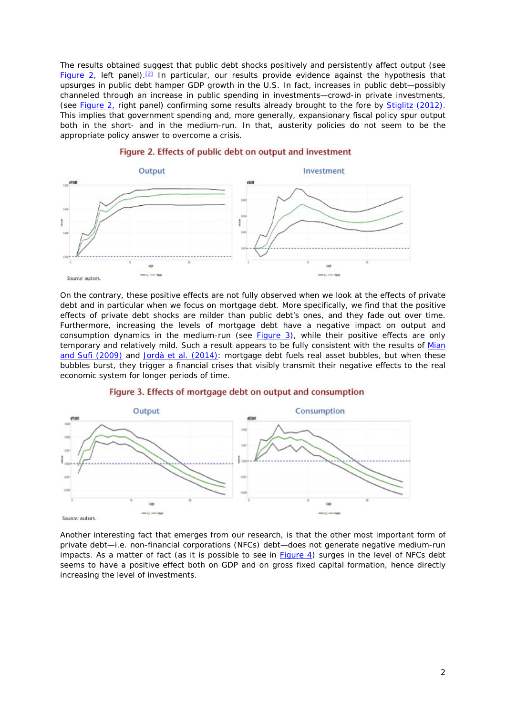The results obtained suggest that public debt shocks *positively* and *persistently* affect output (see [Figure 2,](https://www.ofce.sciences-po.fr/blog/the-janus-faced-nature-of-debt/#Figure2) left panel).<sup>[2]</sup> In particular, our results provide evidence against the hypothesis that upsurges in public debt hamper GDP growth in the U.S. In fact, increases in public debt—possibly channeled through an increase in public spending in investments—crowd-in private investments, (see [Figure 2,](https://www.ofce.sciences-po.fr/blog/the-janus-faced-nature-of-debt/#Figure2) right panel) confirming some results already brought to the fore by [Stiglitz \(2012\).](https://academiccommons.columbia.edu/catalog/ac:157963) This implies that government spending and, more generally, expansionary fiscal policy spur output both in the short- and in the medium-run. In that, austerity policies do not seem to be the appropriate policy answer to overcome a crisis.



#### Figure 2. Effects of public debt on output and investment

On the contrary, these positive effects are not fully observed when we look at the effects of private debt and in particular when we focus on mortgage debt. More specifically, we find that the positive effects of private debt shocks are milder than public debt's ones, and they fade out over time. Furthermore, increasing the levels of mortgage debt have a negative impact on output and consumption dynamics in the medium-run (see  $Figure 3$ ), while their positive effects are only temporary and relatively mild. Such a result appears to be fully consistent with the results of Mian [and Sufi \(2009\)](https://academic.oup.com/qje/article-abstract/124/4/1449/1917185/The-Consequences-of-Mortgage-Credit-Expansion?redirectedFrom=fulltext) and Jordà *et al*[. \(2014\):](https://academic.oup.com/economicpolicy/article/31/85/107/2392378/The-great-mortgaging-housing-finance-crises-and) mortgage debt fuels real asset bubbles, but when these bubbles burst, they trigger a financial crises that visibly transmit their negative effects to the real economic system for longer periods of time.



#### Figure 3. Effects of mortgage debt on output and consumption

Another interesting fact that emerges from our research, is that the other most important form of private debt—*i.e*. non-financial corporations (NFCs) debt—does not generate negative medium-run impacts. As a matter of fact (as it is possible to see in **Figure 4**) surges in the level of NFCs debt seems to have a positive effect both on GDP and on gross fixed capital formation, hence directly increasing the level of investments.